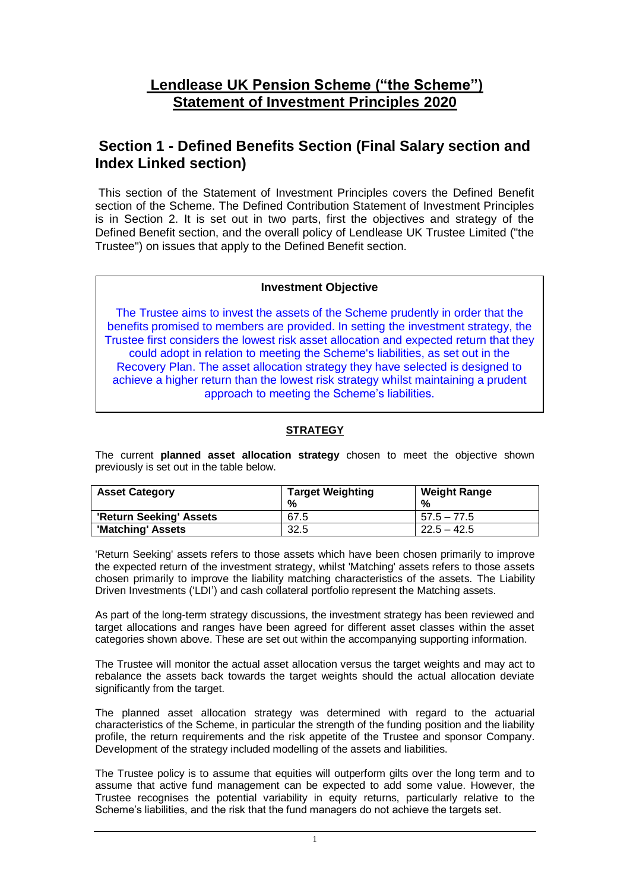# **Lendlease UK Pension Scheme ("the Scheme") Statement of Investment Principles 2020**

# **Section 1 - Defined Benefits Section (Final Salary section and Index Linked section)**

This section of the Statement of Investment Principles covers the Defined Benefit section of the Scheme. The Defined Contribution Statement of Investment Principles is in Section 2. It is set out in two parts, first the objectives and strategy of the Defined Benefit section, and the overall policy of Lendlease UK Trustee Limited ("the Trustee") on issues that apply to the Defined Benefit section.

### **Investment Objective**

The Trustee aims to invest the assets of the Scheme prudently in order that the benefits promised to members are provided. In setting the investment strategy, the Trustee first considers the lowest risk asset allocation and expected return that they could adopt in relation to meeting the Scheme's liabilities, as set out in the Recovery Plan. The asset allocation strategy they have selected is designed to achieve a higher return than the lowest risk strategy whilst maintaining a prudent approach to meeting the Scheme's liabilities.

### **STRATEGY**

The current **planned asset allocation strategy** chosen to meet the objective shown previously is set out in the table below.

| <b>Asset Category</b>   | <b>Target Weighting</b> | <b>Weight Range</b> |
|-------------------------|-------------------------|---------------------|
|                         | %                       | %                   |
| 'Return Seeking' Assets | 67.5                    | $57.5 - 77.5$       |
| 'Matching' Assets       | 32.5                    | $22.5 - 42.5$       |

'Return Seeking' assets refers to those assets which have been chosen primarily to improve the expected return of the investment strategy, whilst 'Matching' assets refers to those assets chosen primarily to improve the liability matching characteristics of the assets. The Liability Driven Investments ('LDI') and cash collateral portfolio represent the Matching assets.

As part of the long-term strategy discussions, the investment strategy has been reviewed and target allocations and ranges have been agreed for different asset classes within the asset categories shown above. These are set out within the accompanying supporting information.

The Trustee will monitor the actual asset allocation versus the target weights and may act to rebalance the assets back towards the target weights should the actual allocation deviate significantly from the target.

The planned asset allocation strategy was determined with regard to the actuarial characteristics of the Scheme, in particular the strength of the funding position and the liability profile, the return requirements and the risk appetite of the Trustee and sponsor Company. Development of the strategy included modelling of the assets and liabilities.

The Trustee policy is to assume that equities will outperform gilts over the long term and to assume that active fund management can be expected to add some value. However, the Trustee recognises the potential variability in equity returns, particularly relative to the Scheme's liabilities, and the risk that the fund managers do not achieve the targets set.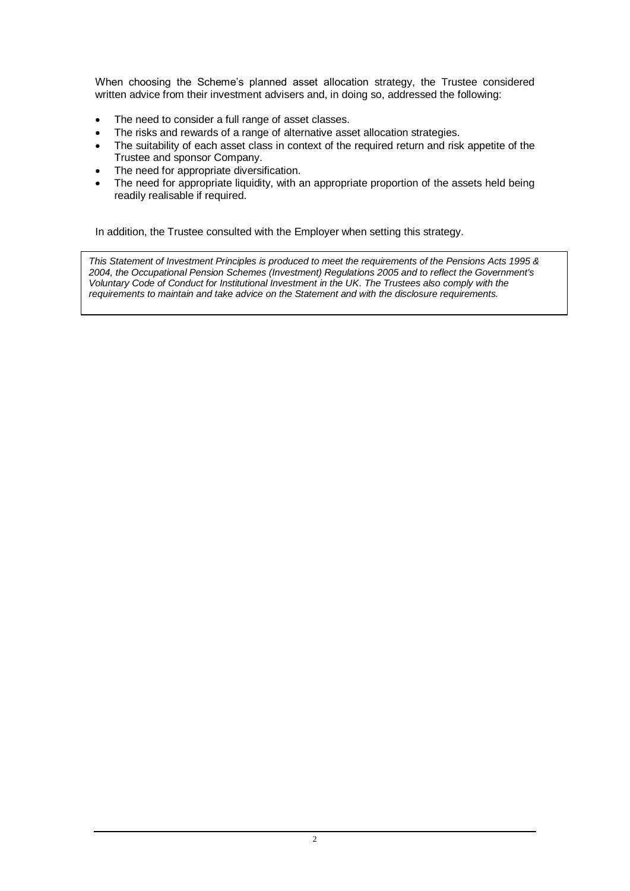When choosing the Scheme's planned asset allocation strategy, the Trustee considered written advice from their investment advisers and, in doing so, addressed the following:

- The need to consider a full range of asset classes.
- The risks and rewards of a range of alternative asset allocation strategies.
- The suitability of each asset class in context of the required return and risk appetite of the Trustee and sponsor Company.
- The need for appropriate diversification.
- The need for appropriate liquidity, with an appropriate proportion of the assets held being readily realisable if required.

In addition, the Trustee consulted with the Employer when setting this strategy.

*This Statement of Investment Principles is produced to meet the requirements of the Pensions Acts 1995 & 2004, the Occupational Pension Schemes (Investment) Regulations 2005 and to reflect the Government's Voluntary Code of Conduct for Institutional Investment in the UK*. *The Trustees also comply with the requirements to maintain and take advice on the Statement and with the disclosure requirements.*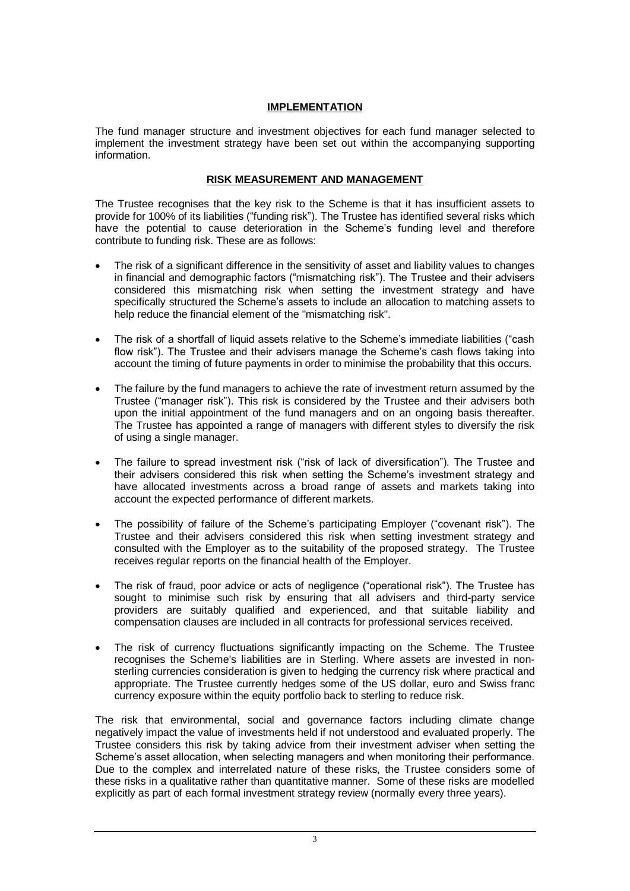### **IMPLEMENTATION**

The fund manager structure and investment objectives for each fund manager selected to implement the investment strategy have been set out within the accompanying supporting information.

### **RISK MEASUREMENT AND MANAGEMENT**

The Trustee recognises that the key risk to the Scheme is that it has insufficient assets to provide for 100% of its liabilities ("funding risk"). The Trustee has identified several risks which have the potential to cause deterioration in the Scheme's funding level and therefore contribute to funding risk. These are as follows:

- The risk of a significant difference in the sensitivity of asset and liability values to changes in financial and demographic factors ("mismatching risk"). The Trustee and their advisers considered this mismatching risk when setting the investment strategy and have specifically structured the Scheme's assets to include an allocation to matching assets to help reduce the financial element of the "mismatching risk".
- The risk of a shortfall of liquid assets relative to the Scheme's immediate liabilities ("cash flow risk"). The Trustee and their advisers manage the Scheme's cash flows taking into account the timing of future payments in order to minimise the probability that this occurs.
- The failure by the fund managers to achieve the rate of investment return assumed by the Trustee ("manager risk"). This risk is considered by the Trustee and their advisers both upon the initial appointment of the fund managers and on an ongoing basis thereafter. The Trustee has appointed a range of managers with different styles to diversify the risk of using a single manager.
- The failure to spread investment risk ("risk of lack of diversification"). The Trustee and their advisers considered this risk when setting the Scheme's investment strategy and have allocated investments across a broad range of assets and markets taking into account the expected performance of different markets.
- The possibility of failure of the Scheme's participating Employer ("covenant risk"). The Trustee and their advisers considered this risk when setting investment strategy and consulted with the Employer as to the suitability of the proposed strategy. The Trustee receives regular reports on the financial health of the Employer.
- The risk of fraud, poor advice or acts of negligence ("operational risk"). The Trustee has sought to minimise such risk by ensuring that all advisers and third-party service providers are suitably qualified and experienced, and that suitable liability and compensation clauses are included in all contracts for professional services received.
- The risk of currency fluctuations significantly impacting on the Scheme. The Trustee recognises the Scheme's liabilities are in Sterling. Where assets are invested in nonsterling currencies consideration is given to hedging the currency risk where practical and appropriate. The Trustee currently hedges some of the US dollar, euro and Swiss franc currency exposure within the equity portfolio back to sterling to reduce risk.

The risk that environmental, social and governance factors including climate change negatively impact the value of investments held if not understood and evaluated properly. The Trustee considers this risk by taking advice from their investment adviser when setting the Scheme's asset allocation, when selecting managers and when monitoring their performance. Due to the complex and interrelated nature of these risks, the Trustee considers some of these risks in a qualitative rather than quantitative manner. Some of these risks are modelled explicitly as part of each formal investment strategy review (normally every three years).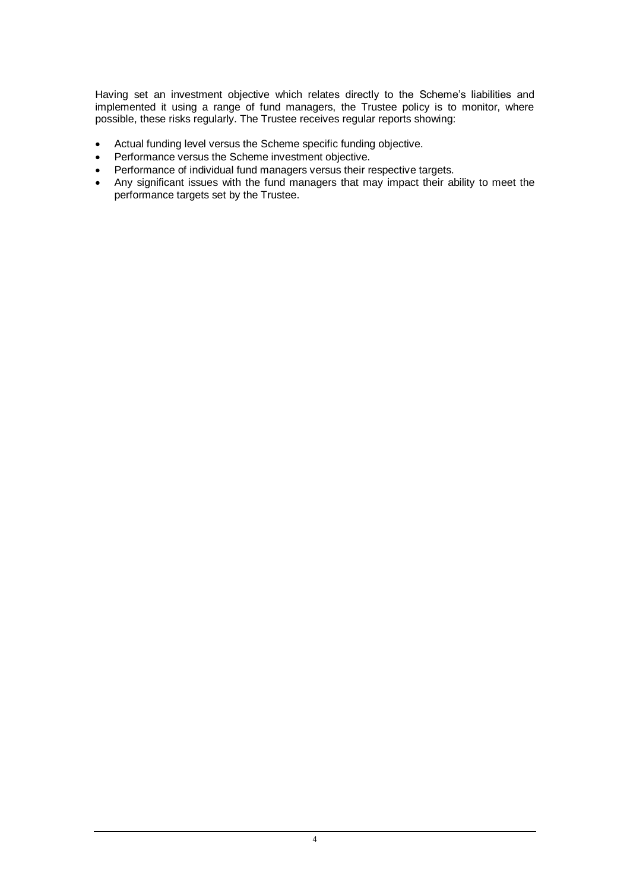Having set an investment objective which relates directly to the Scheme's liabilities and implemented it using a range of fund managers, the Trustee policy is to monitor, where possible, these risks regularly. The Trustee receives regular reports showing:

- Actual funding level versus the Scheme specific funding objective.
- Performance versus the Scheme investment objective.
- Performance of individual fund managers versus their respective targets.
- Any significant issues with the fund managers that may impact their ability to meet the performance targets set by the Trustee.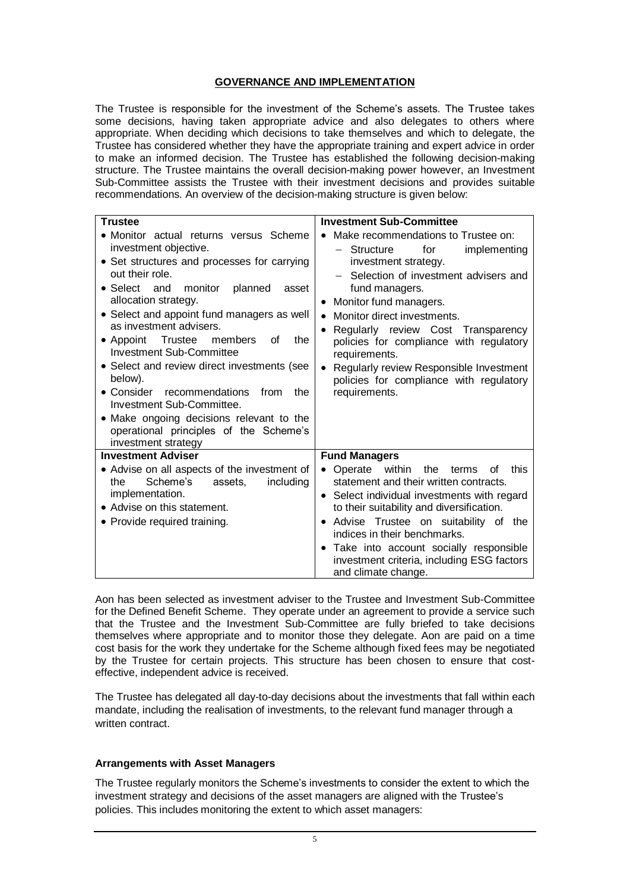#### **GOVERNANCE AND IMPLEMENTATION**

The Trustee is responsible for the investment of the Scheme's assets. The Trustee takes some decisions, having taken appropriate advice and also delegates to others where appropriate. When deciding which decisions to take themselves and which to delegate, the Trustee has considered whether they have the appropriate training and expert advice in order to make an informed decision. The Trustee has established the following decision-making structure. The Trustee maintains the overall decision-making power however, an Investment Sub-Committee assists the Trustee with their investment decisions and provides suitable recommendations. An overview of the decision-making structure is given below:

| <b>Trustee</b>                                                                                                                                                                                                                                                                                                              | <b>Investment Sub-Committee</b>                                                                                                                                                                                                                                                                                                                                                                                  |
|-----------------------------------------------------------------------------------------------------------------------------------------------------------------------------------------------------------------------------------------------------------------------------------------------------------------------------|------------------------------------------------------------------------------------------------------------------------------------------------------------------------------------------------------------------------------------------------------------------------------------------------------------------------------------------------------------------------------------------------------------------|
| • Monitor actual returns versus Scheme<br>investment objective.<br>• Set structures and processes for carrying<br>out their role.<br>• Select and<br>monitor<br>planned<br>asset<br>allocation strategy.<br>• Select and appoint fund managers as well<br>as investment advisers.<br>• Appoint Trustee members<br>the<br>οf | Make recommendations to Trustee on:<br>$\bullet$<br>$-$ Structure<br>for<br>implementing<br>investment strategy.<br>- Selection of investment advisers and<br>fund managers.<br>Monitor fund managers.<br>$\bullet$<br>Monitor direct investments.<br>$\bullet$<br>Regularly review Cost Transparency<br>$\bullet$<br>policies for compliance with regulatory                                                    |
| <b>Investment Sub-Committee</b><br>• Select and review direct investments (see<br>below).<br>• Consider<br>recommendations<br>from<br>the<br>Investment Sub-Committee.<br>• Make ongoing decisions relevant to the<br>operational principles of the Scheme's<br>investment strategy                                         | requirements.<br>Regularly review Responsible Investment<br>$\bullet$<br>policies for compliance with regulatory<br>requirements.                                                                                                                                                                                                                                                                                |
| <b>Investment Adviser</b>                                                                                                                                                                                                                                                                                                   | <b>Fund Managers</b>                                                                                                                                                                                                                                                                                                                                                                                             |
| • Advise on all aspects of the investment of<br>Scheme's<br>including<br>the<br>assets.<br>implementation.<br>• Advise on this statement.<br>• Provide required training.                                                                                                                                                   | Operate within<br>this<br>the<br>terms<br>Οf<br>$\bullet$<br>statement and their written contracts.<br>• Select individual investments with regard<br>to their suitability and diversification.<br>Advise Trustee on suitability of the<br>$\bullet$<br>indices in their benchmarks.<br>Take into account socially responsible<br>$\bullet$<br>investment criteria, including ESG factors<br>and climate change. |

Aon has been selected as investment adviser to the Trustee and Investment Sub-Committee for the Defined Benefit Scheme. They operate under an agreement to provide a service such that the Trustee and the Investment Sub-Committee are fully briefed to take decisions themselves where appropriate and to monitor those they delegate. Aon are paid on a time cost basis for the work they undertake for the Scheme although fixed fees may be negotiated by the Trustee for certain projects. This structure has been chosen to ensure that costeffective, independent advice is received.

The Trustee has delegated all day-to-day decisions about the investments that fall within each mandate, including the realisation of investments, to the relevant fund manager through a written contract

#### **Arrangements with Asset Managers**

The Trustee regularly monitors the Scheme's investments to consider the extent to which the investment strategy and decisions of the asset managers are aligned with the Trustee's policies. This includes monitoring the extent to which asset managers: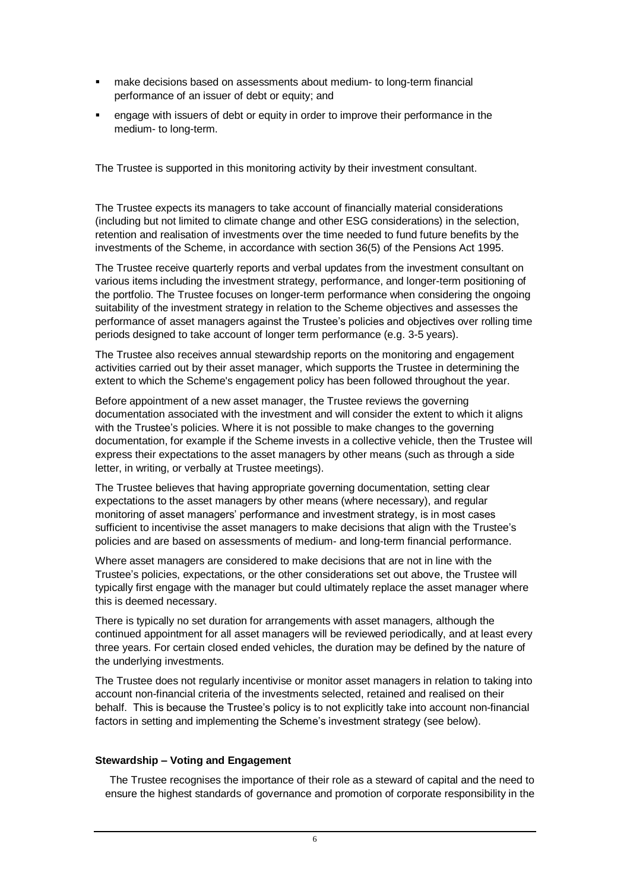- make decisions based on assessments about medium- to long-term financial performance of an issuer of debt or equity; and
- engage with issuers of debt or equity in order to improve their performance in the medium- to long-term.

The Trustee is supported in this monitoring activity by their investment consultant.

The Trustee expects its managers to take account of financially material considerations (including but not limited to climate change and other ESG considerations) in the selection, retention and realisation of investments over the time needed to fund future benefits by the investments of the Scheme, in accordance with section 36(5) of the Pensions Act 1995.

The Trustee receive quarterly reports and verbal updates from the investment consultant on various items including the investment strategy, performance, and longer-term positioning of the portfolio. The Trustee focuses on longer-term performance when considering the ongoing suitability of the investment strategy in relation to the Scheme objectives and assesses the performance of asset managers against the Trustee's policies and objectives over rolling time periods designed to take account of longer term performance (e.g. 3-5 years).

The Trustee also receives annual stewardship reports on the monitoring and engagement activities carried out by their asset manager, which supports the Trustee in determining the extent to which the Scheme's engagement policy has been followed throughout the year.

Before appointment of a new asset manager, the Trustee reviews the governing documentation associated with the investment and will consider the extent to which it aligns with the Trustee's policies. Where it is not possible to make changes to the governing documentation, for example if the Scheme invests in a collective vehicle, then the Trustee will express their expectations to the asset managers by other means (such as through a side letter, in writing, or verbally at Trustee meetings).

The Trustee believes that having appropriate governing documentation, setting clear expectations to the asset managers by other means (where necessary), and regular monitoring of asset managers' performance and investment strategy, is in most cases sufficient to incentivise the asset managers to make decisions that align with the Trustee's policies and are based on assessments of medium- and long-term financial performance.

Where asset managers are considered to make decisions that are not in line with the Trustee's policies, expectations, or the other considerations set out above, the Trustee will typically first engage with the manager but could ultimately replace the asset manager where this is deemed necessary.

There is typically no set duration for arrangements with asset managers, although the continued appointment for all asset managers will be reviewed periodically, and at least every three years. For certain closed ended vehicles, the duration may be defined by the nature of the underlying investments.

The Trustee does not regularly incentivise or monitor asset managers in relation to taking into account non-financial criteria of the investments selected, retained and realised on their behalf. This is because the Trustee's policy is to not explicitly take into account non-financial factors in setting and implementing the Scheme's investment strategy (see below).

### **Stewardship – Voting and Engagement**

The Trustee recognises the importance of their role as a steward of capital and the need to ensure the highest standards of governance and promotion of corporate responsibility in the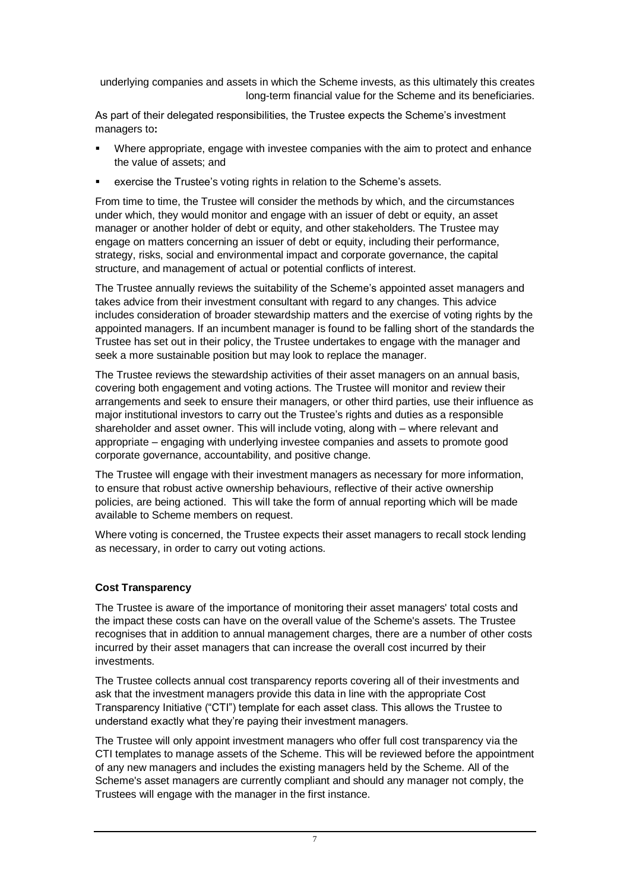underlying companies and assets in which the Scheme invests, as this ultimately this creates long-term financial value for the Scheme and its beneficiaries.

As part of their delegated responsibilities, the Trustee expects the Scheme's investment managers to**:**

- Where appropriate, engage with investee companies with the aim to protect and enhance the value of assets; and
- exercise the Trustee's voting rights in relation to the Scheme's assets.

From time to time, the Trustee will consider the methods by which, and the circumstances under which, they would monitor and engage with an issuer of debt or equity, an asset manager or another holder of debt or equity, and other stakeholders. The Trustee may engage on matters concerning an issuer of debt or equity, including their performance, strategy, risks, social and environmental impact and corporate governance, the capital structure, and management of actual or potential conflicts of interest.

The Trustee annually reviews the suitability of the Scheme's appointed asset managers and takes advice from their investment consultant with regard to any changes. This advice includes consideration of broader stewardship matters and the exercise of voting rights by the appointed managers. If an incumbent manager is found to be falling short of the standards the Trustee has set out in their policy, the Trustee undertakes to engage with the manager and seek a more sustainable position but may look to replace the manager.

The Trustee reviews the stewardship activities of their asset managers on an annual basis, covering both engagement and voting actions. The Trustee will monitor and review their arrangements and seek to ensure their managers, or other third parties, use their influence as major institutional investors to carry out the Trustee's rights and duties as a responsible shareholder and asset owner. This will include voting, along with – where relevant and appropriate – engaging with underlying investee companies and assets to promote good corporate governance, accountability, and positive change.

The Trustee will engage with their investment managers as necessary for more information, to ensure that robust active ownership behaviours, reflective of their active ownership policies, are being actioned. This will take the form of annual reporting which will be made available to Scheme members on request.

Where voting is concerned, the Trustee expects their asset managers to recall stock lending as necessary, in order to carry out voting actions.

### **Cost Transparency**

The Trustee is aware of the importance of monitoring their asset managers' total costs and the impact these costs can have on the overall value of the Scheme's assets. The Trustee recognises that in addition to annual management charges, there are a number of other costs incurred by their asset managers that can increase the overall cost incurred by their investments.

The Trustee collects annual cost transparency reports covering all of their investments and ask that the investment managers provide this data in line with the appropriate Cost Transparency Initiative ("CTI") template for each asset class. This allows the Trustee to understand exactly what they're paying their investment managers.

The Trustee will only appoint investment managers who offer full cost transparency via the CTI templates to manage assets of the Scheme. This will be reviewed before the appointment of any new managers and includes the existing managers held by the Scheme. All of the Scheme's asset managers are currently compliant and should any manager not comply, the Trustees will engage with the manager in the first instance.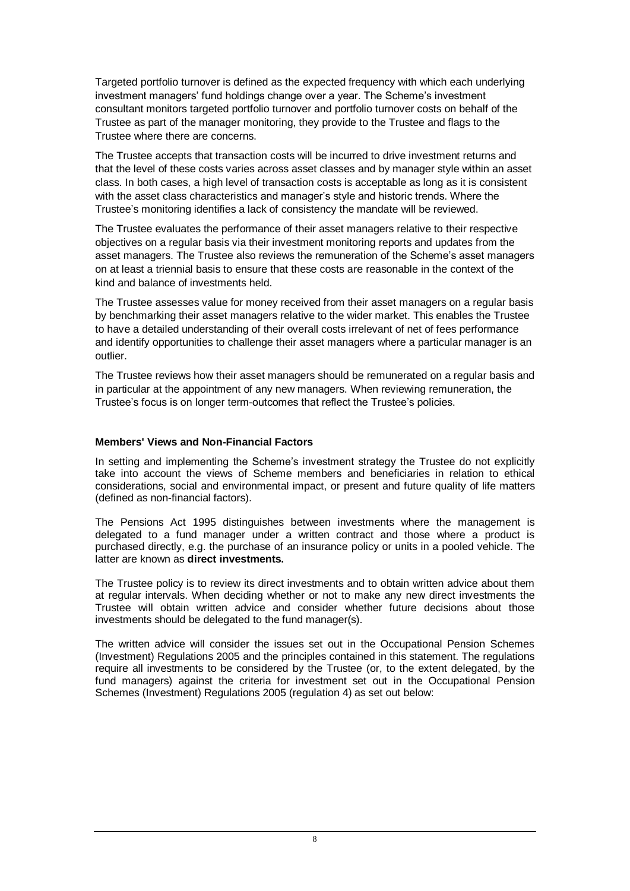Targeted portfolio turnover is defined as the expected frequency with which each underlying investment managers' fund holdings change over a year. The Scheme's investment consultant monitors targeted portfolio turnover and portfolio turnover costs on behalf of the Trustee as part of the manager monitoring, they provide to the Trustee and flags to the Trustee where there are concerns.

The Trustee accepts that transaction costs will be incurred to drive investment returns and that the level of these costs varies across asset classes and by manager style within an asset class. In both cases, a high level of transaction costs is acceptable as long as it is consistent with the asset class characteristics and manager's style and historic trends. Where the Trustee's monitoring identifies a lack of consistency the mandate will be reviewed.

The Trustee evaluates the performance of their asset managers relative to their respective objectives on a regular basis via their investment monitoring reports and updates from the asset managers. The Trustee also reviews the remuneration of the Scheme's asset managers on at least a triennial basis to ensure that these costs are reasonable in the context of the kind and balance of investments held.

The Trustee assesses value for money received from their asset managers on a regular basis by benchmarking their asset managers relative to the wider market. This enables the Trustee to have a detailed understanding of their overall costs irrelevant of net of fees performance and identify opportunities to challenge their asset managers where a particular manager is an outlier.

The Trustee reviews how their asset managers should be remunerated on a regular basis and in particular at the appointment of any new managers. When reviewing remuneration, the Trustee's focus is on longer term-outcomes that reflect the Trustee's policies.

#### **Members' Views and Non-Financial Factors**

In setting and implementing the Scheme's investment strategy the Trustee do not explicitly take into account the views of Scheme members and beneficiaries in relation to ethical considerations, social and environmental impact, or present and future quality of life matters (defined as non-financial factors).

The Pensions Act 1995 distinguishes between investments where the management is delegated to a fund manager under a written contract and those where a product is purchased directly, e.g. the purchase of an insurance policy or units in a pooled vehicle. The latter are known as **direct investments.**

The Trustee policy is to review its direct investments and to obtain written advice about them at regular intervals. When deciding whether or not to make any new direct investments the Trustee will obtain written advice and consider whether future decisions about those investments should be delegated to the fund manager(s).

The written advice will consider the issues set out in the Occupational Pension Schemes (Investment) Regulations 2005 and the principles contained in this statement. The regulations require all investments to be considered by the Trustee (or, to the extent delegated, by the fund managers) against the criteria for investment set out in the Occupational Pension Schemes (Investment) Regulations 2005 (regulation 4) as set out below: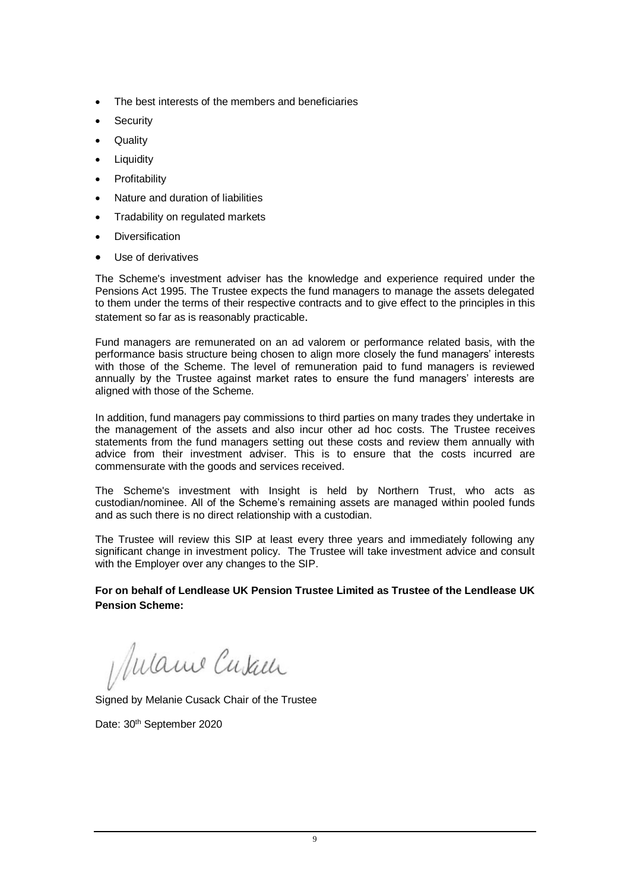- The best interests of the members and beneficiaries
- **Security**
- Quality
- Liquidity
- **Profitability**
- Nature and duration of liabilities
- Tradability on regulated markets
- **Diversification**
- Use of derivatives

The Scheme's investment adviser has the knowledge and experience required under the Pensions Act 1995. The Trustee expects the fund managers to manage the assets delegated to them under the terms of their respective contracts and to give effect to the principles in this statement so far as is reasonably practicable.

Fund managers are remunerated on an ad valorem or performance related basis, with the performance basis structure being chosen to align more closely the fund managers' interests with those of the Scheme. The level of remuneration paid to fund managers is reviewed annually by the Trustee against market rates to ensure the fund managers' interests are aligned with those of the Scheme.

In addition, fund managers pay commissions to third parties on many trades they undertake in the management of the assets and also incur other ad hoc costs. The Trustee receives statements from the fund managers setting out these costs and review them annually with advice from their investment adviser. This is to ensure that the costs incurred are commensurate with the goods and services received.

The Scheme's investment with Insight is held by Northern Trust, who acts as custodian/nominee. All of the Scheme's remaining assets are managed within pooled funds and as such there is no direct relationship with a custodian.

The Trustee will review this SIP at least every three years and immediately following any significant change in investment policy. The Trustee will take investment advice and consult with the Employer over any changes to the SIP.

**For on behalf of Lendlease UK Pension Trustee Limited as Trustee of the Lendlease UK Pension Scheme:**

Mulame Cusall

Signed by Melanie Cusack Chair of the Trustee

Date: 30<sup>th</sup> September 2020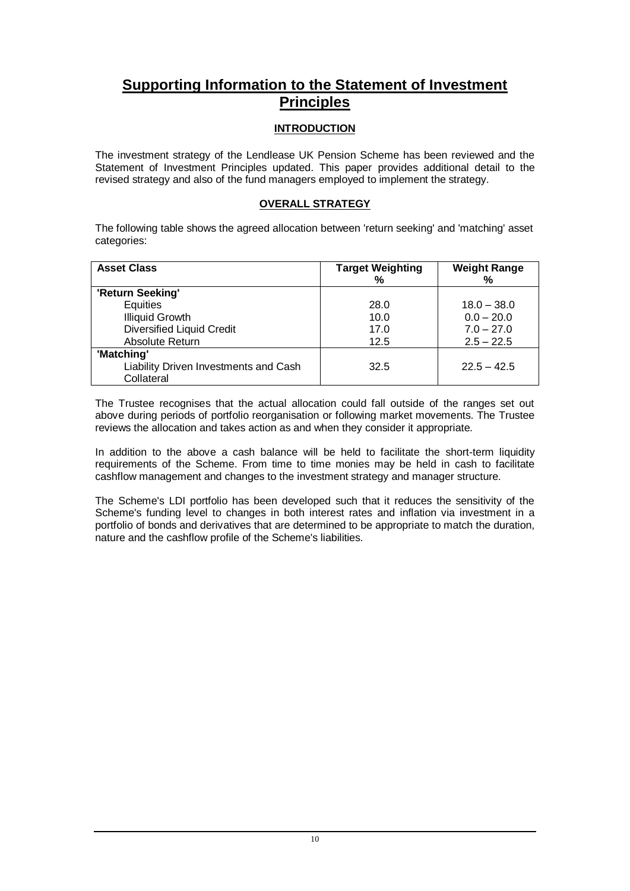# **Supporting Information to the Statement of Investment Principles**

# **INTRODUCTION**

The investment strategy of the Lendlease UK Pension Scheme has been reviewed and the Statement of Investment Principles updated. This paper provides additional detail to the revised strategy and also of the fund managers employed to implement the strategy.

### **OVERALL STRATEGY**

The following table shows the agreed allocation between 'return seeking' and 'matching' asset categories:

| <b>Asset Class</b>                                  | <b>Target Weighting</b><br>% | <b>Weight Range</b><br>% |
|-----------------------------------------------------|------------------------------|--------------------------|
| 'Return Seeking'                                    |                              |                          |
| Equities                                            | 28.0                         | $18.0 - 38.0$            |
| <b>Illiquid Growth</b>                              | 10.0                         | $0.0 - 20.0$             |
| <b>Diversified Liquid Credit</b>                    | 17.0                         | $7.0 - 27.0$             |
| Absolute Return                                     | 12.5                         | $2.5 - 22.5$             |
| 'Matching'                                          |                              |                          |
| Liability Driven Investments and Cash<br>Collateral | 32.5                         | $22.5 - 42.5$            |

The Trustee recognises that the actual allocation could fall outside of the ranges set out above during periods of portfolio reorganisation or following market movements. The Trustee reviews the allocation and takes action as and when they consider it appropriate.

In addition to the above a cash balance will be held to facilitate the short-term liquidity requirements of the Scheme. From time to time monies may be held in cash to facilitate cashflow management and changes to the investment strategy and manager structure.

The Scheme's LDI portfolio has been developed such that it reduces the sensitivity of the Scheme's funding level to changes in both interest rates and inflation via investment in a portfolio of bonds and derivatives that are determined to be appropriate to match the duration, nature and the cashflow profile of the Scheme's liabilities.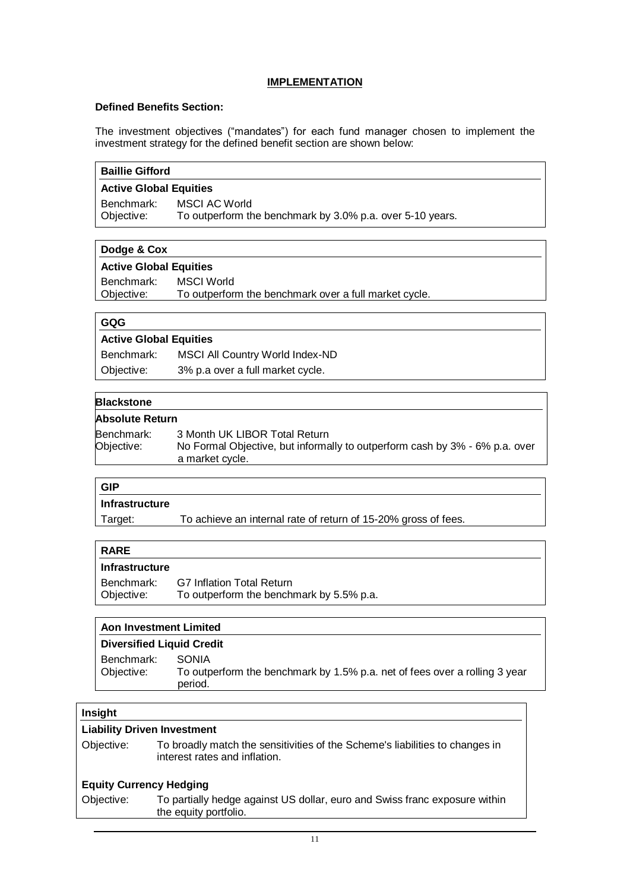### **IMPLEMENTATION**

#### **Defined Benefits Section:**

The investment objectives ("mandates") for each fund manager chosen to implement the investment strategy for the defined benefit section are shown below:

| <b>Baillie Gifford</b>             |                                                                                                                                 |  |
|------------------------------------|---------------------------------------------------------------------------------------------------------------------------------|--|
|                                    | <b>Active Global Equities</b>                                                                                                   |  |
| Benchmark:<br>Objective:           | <b>MSCI AC World</b><br>To outperform the benchmark by 3.0% p.a. over 5-10 years.                                               |  |
| Dodge & Cox                        |                                                                                                                                 |  |
|                                    | <b>Active Global Equities</b>                                                                                                   |  |
| Benchmark:<br>Objective:           | <b>MSCI World</b><br>To outperform the benchmark over a full market cycle.                                                      |  |
| GQG                                |                                                                                                                                 |  |
|                                    | <b>Active Global Equities</b>                                                                                                   |  |
|                                    | Benchmark:<br>MSCI All Country World Index-ND                                                                                   |  |
| Objective:                         | 3% p.a over a full market cycle.                                                                                                |  |
| <b>Blackstone</b>                  |                                                                                                                                 |  |
| <b>Absolute Return</b>             |                                                                                                                                 |  |
| Benchmark:<br>Objective:           | 3 Month UK LIBOR Total Return<br>No Formal Objective, but informally to outperform cash by 3% - 6% p.a. over<br>a market cycle. |  |
| <b>GIP</b>                         |                                                                                                                                 |  |
| <b>Infrastructure</b>              |                                                                                                                                 |  |
| Target:                            | To achieve an internal rate of return of 15-20% gross of fees.                                                                  |  |
| <b>RARE</b>                        |                                                                                                                                 |  |
| <b>Infrastructure</b>              |                                                                                                                                 |  |
| Benchmark:<br>Objective:           | <b>G7 Inflation Total Return</b><br>To outperform the benchmark by 5.5% p.a.                                                    |  |
|                                    | <b>Aon Investment Limited</b>                                                                                                   |  |
|                                    | <b>Diversified Liquid Credit</b>                                                                                                |  |
| Benchmark:<br>Objective:           | <b>SONIA</b><br>To outperform the benchmark by 1.5% p.a. net of fees over a rolling 3 year<br>period.                           |  |
| Insight                            |                                                                                                                                 |  |
| <b>Liability Driven Investment</b> |                                                                                                                                 |  |
| Objective:                         | To broadly match the sensitivities of the Scheme's liabilities to changes in<br>interest rates and inflation.                   |  |
| <b>Equity Currency Hedging</b>     |                                                                                                                                 |  |
| Objective:                         | To partially hedge against US dollar, euro and Swiss franc exposure within<br>the equity portfolio.                             |  |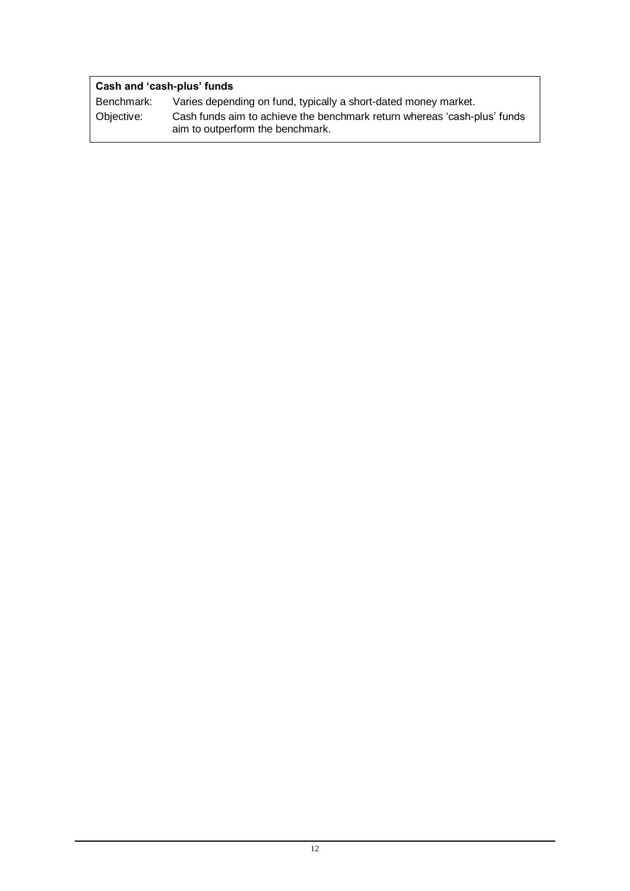| Cash and 'cash-plus' funds |                                                                                                              |  |
|----------------------------|--------------------------------------------------------------------------------------------------------------|--|
| Benchmark:                 | Varies depending on fund, typically a short-dated money market.                                              |  |
| Objective:                 | Cash funds aim to achieve the benchmark return whereas 'cash-plus' funds<br>aim to outperform the benchmark. |  |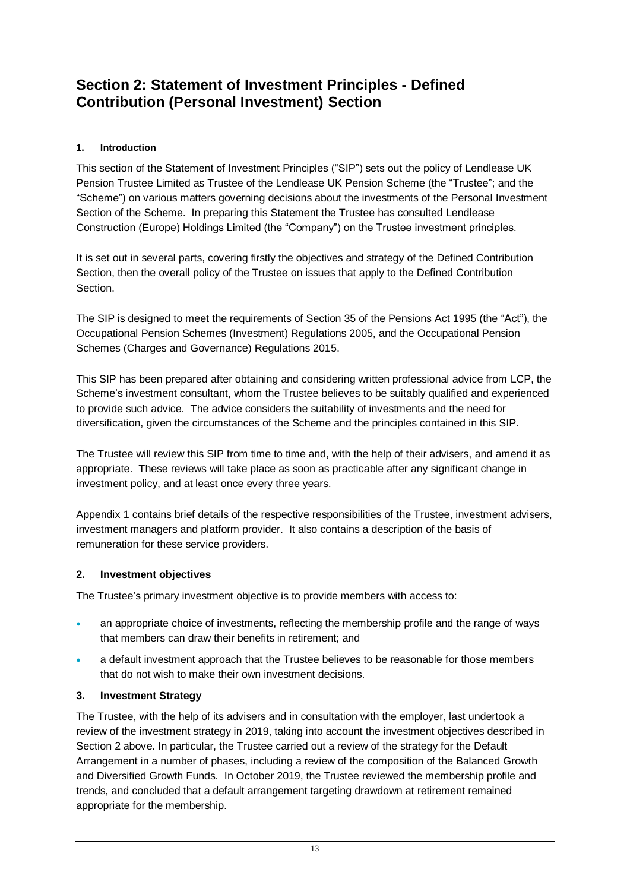# **Section 2: Statement of Investment Principles - Defined Contribution (Personal Investment) Section**

# **1. Introduction**

This section of the Statement of Investment Principles ("SIP") sets out the policy of Lendlease UK Pension Trustee Limited as Trustee of the Lendlease UK Pension Scheme (the "Trustee"; and the "Scheme") on various matters governing decisions about the investments of the Personal Investment Section of the Scheme. In preparing this Statement the Trustee has consulted Lendlease Construction (Europe) Holdings Limited (the "Company") on the Trustee investment principles.

It is set out in several parts, covering firstly the objectives and strategy of the Defined Contribution Section, then the overall policy of the Trustee on issues that apply to the Defined Contribution Section.

The SIP is designed to meet the requirements of Section 35 of the Pensions Act 1995 (the "Act"), the Occupational Pension Schemes (Investment) Regulations 2005, and the Occupational Pension Schemes (Charges and Governance) Regulations 2015.

This SIP has been prepared after obtaining and considering written professional advice from LCP, the Scheme's investment consultant, whom the Trustee believes to be suitably qualified and experienced to provide such advice. The advice considers the suitability of investments and the need for diversification, given the circumstances of the Scheme and the principles contained in this SIP.

The Trustee will review this SIP from time to time and, with the help of their advisers, and amend it as appropriate. These reviews will take place as soon as practicable after any significant change in investment policy, and at least once every three years.

Appendix 1 contains brief details of the respective responsibilities of the Trustee, investment advisers, investment managers and platform provider. It also contains a description of the basis of remuneration for these service providers.

### **2. Investment objectives**

The Trustee's primary investment objective is to provide members with access to:

- an appropriate choice of investments, reflecting the membership profile and the range of ways that members can draw their benefits in retirement; and
- a default investment approach that the Trustee believes to be reasonable for those members that do not wish to make their own investment decisions.

# **3. Investment Strategy**

The Trustee, with the help of its advisers and in consultation with the employer, last undertook a review of the investment strategy in 2019, taking into account the investment objectives described in Section 2 above. In particular, the Trustee carried out a review of the strategy for the Default Arrangement in a number of phases, including a review of the composition of the Balanced Growth and Diversified Growth Funds. In October 2019, the Trustee reviewed the membership profile and trends, and concluded that a default arrangement targeting drawdown at retirement remained appropriate for the membership.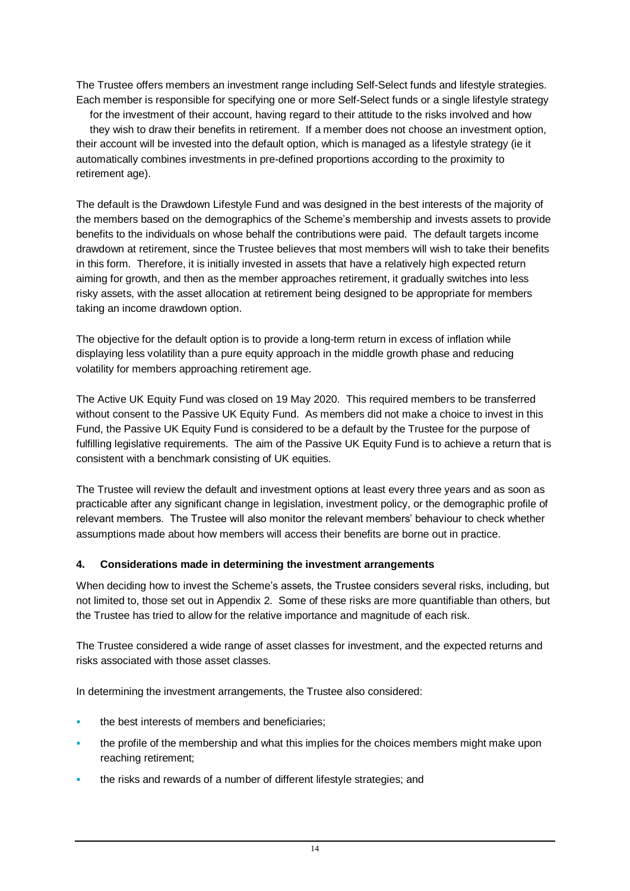The Trustee offers members an investment range including Self-Select funds and lifestyle strategies. Each member is responsible for specifying one or more Self-Select funds or a single lifestyle strategy for the investment of their account, having regard to their attitude to the risks involved and how they wish to draw their benefits in retirement. If a member does not choose an investment option, their account will be invested into the default option, which is managed as a lifestyle strategy (ie it automatically combines investments in pre-defined proportions according to the proximity to retirement age).

The default is the Drawdown Lifestyle Fund and was designed in the best interests of the majority of the members based on the demographics of the Scheme's membership and invests assets to provide benefits to the individuals on whose behalf the contributions were paid. The default targets income drawdown at retirement, since the Trustee believes that most members will wish to take their benefits in this form. Therefore, it is initially invested in assets that have a relatively high expected return aiming for growth, and then as the member approaches retirement, it gradually switches into less risky assets, with the asset allocation at retirement being designed to be appropriate for members taking an income drawdown option.

The objective for the default option is to provide a long-term return in excess of inflation while displaying less volatility than a pure equity approach in the middle growth phase and reducing volatility for members approaching retirement age.

The Active UK Equity Fund was closed on 19 May 2020. This required members to be transferred without consent to the Passive UK Equity Fund. As members did not make a choice to invest in this Fund, the Passive UK Equity Fund is considered to be a default by the Trustee for the purpose of fulfilling legislative requirements. The aim of the Passive UK Equity Fund is to achieve a return that is consistent with a benchmark consisting of UK equities.

The Trustee will review the default and investment options at least every three years and as soon as practicable after any significant change in legislation, investment policy, or the demographic profile of relevant members. The Trustee will also monitor the relevant members' behaviour to check whether assumptions made about how members will access their benefits are borne out in practice.

### **4. Considerations made in determining the investment arrangements**

When deciding how to invest the Scheme's assets, the Trustee considers several risks, including, but not limited to, those set out in Appendix 2. Some of these risks are more quantifiable than others, but the Trustee has tried to allow for the relative importance and magnitude of each risk.

The Trustee considered a wide range of asset classes for investment, and the expected returns and risks associated with those asset classes.

In determining the investment arrangements, the Trustee also considered:

- the best interests of members and beneficiaries:
- the profile of the membership and what this implies for the choices members might make upon reaching retirement;
- the risks and rewards of a number of different lifestyle strategies; and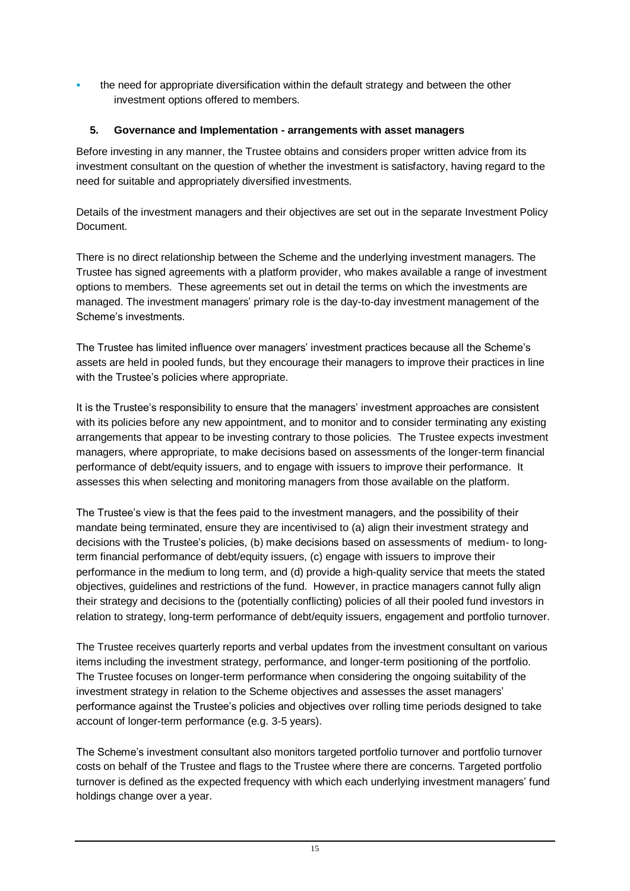the need for appropriate diversification within the default strategy and between the other investment options offered to members.

### **5. Governance and Implementation - arrangements with asset managers**

Before investing in any manner, the Trustee obtains and considers proper written advice from its investment consultant on the question of whether the investment is satisfactory, having regard to the need for suitable and appropriately diversified investments.

Details of the investment managers and their objectives are set out in the separate Investment Policy Document.

There is no direct relationship between the Scheme and the underlying investment managers. The Trustee has signed agreements with a platform provider, who makes available a range of investment options to members. These agreements set out in detail the terms on which the investments are managed. The investment managers' primary role is the day-to-day investment management of the Scheme's investments.

The Trustee has limited influence over managers' investment practices because all the Scheme's assets are held in pooled funds, but they encourage their managers to improve their practices in line with the Trustee's policies where appropriate.

It is the Trustee's responsibility to ensure that the managers' investment approaches are consistent with its policies before any new appointment, and to monitor and to consider terminating any existing arrangements that appear to be investing contrary to those policies. The Trustee expects investment managers, where appropriate, to make decisions based on assessments of the longer-term financial performance of debt/equity issuers, and to engage with issuers to improve their performance. It assesses this when selecting and monitoring managers from those available on the platform.

The Trustee's view is that the fees paid to the investment managers, and the possibility of their mandate being terminated, ensure they are incentivised to (a) align their investment strategy and decisions with the Trustee's policies, (b) make decisions based on assessments of medium- to longterm financial performance of debt/equity issuers, (c) engage with issuers to improve their performance in the medium to long term, and (d) provide a high-quality service that meets the stated objectives, guidelines and restrictions of the fund. However, in practice managers cannot fully align their strategy and decisions to the (potentially conflicting) policies of all their pooled fund investors in relation to strategy, long-term performance of debt/equity issuers, engagement and portfolio turnover.

The Trustee receives quarterly reports and verbal updates from the investment consultant on various items including the investment strategy, performance, and longer-term positioning of the portfolio. The Trustee focuses on longer-term performance when considering the ongoing suitability of the investment strategy in relation to the Scheme objectives and assesses the asset managers' performance against the Trustee's policies and objectives over rolling time periods designed to take account of longer-term performance (e.g. 3-5 years).

The Scheme's investment consultant also monitors targeted portfolio turnover and portfolio turnover costs on behalf of the Trustee and flags to the Trustee where there are concerns. Targeted portfolio turnover is defined as the expected frequency with which each underlying investment managers' fund holdings change over a year.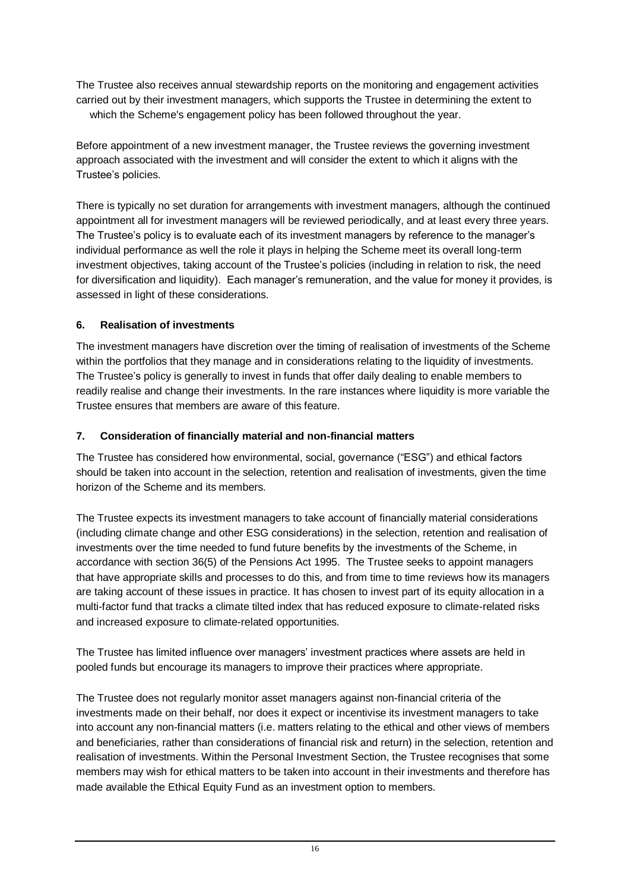The Trustee also receives annual stewardship reports on the monitoring and engagement activities carried out by their investment managers, which supports the Trustee in determining the extent to which the Scheme's engagement policy has been followed throughout the year.

Before appointment of a new investment manager, the Trustee reviews the governing investment approach associated with the investment and will consider the extent to which it aligns with the Trustee's policies.

There is typically no set duration for arrangements with investment managers, although the continued appointment all for investment managers will be reviewed periodically, and at least every three years. The Trustee's policy is to evaluate each of its investment managers by reference to the manager's individual performance as well the role it plays in helping the Scheme meet its overall long-term investment objectives, taking account of the Trustee's policies (including in relation to risk, the need for diversification and liquidity). Each manager's remuneration, and the value for money it provides, is assessed in light of these considerations.

## **6. Realisation of investments**

The investment managers have discretion over the timing of realisation of investments of the Scheme within the portfolios that they manage and in considerations relating to the liquidity of investments. The Trustee's policy is generally to invest in funds that offer daily dealing to enable members to readily realise and change their investments. In the rare instances where liquidity is more variable the Trustee ensures that members are aware of this feature.

## **7. Consideration of financially material and non-financial matters**

The Trustee has considered how environmental, social, governance ("ESG") and ethical factors should be taken into account in the selection, retention and realisation of investments, given the time horizon of the Scheme and its members.

The Trustee expects its investment managers to take account of financially material considerations (including climate change and other ESG considerations) in the selection, retention and realisation of investments over the time needed to fund future benefits by the investments of the Scheme, in accordance with section 36(5) of the Pensions Act 1995. The Trustee seeks to appoint managers that have appropriate skills and processes to do this, and from time to time reviews how its managers are taking account of these issues in practice. It has chosen to invest part of its equity allocation in a multi-factor fund that tracks a climate tilted index that has reduced exposure to climate-related risks and increased exposure to climate-related opportunities.

The Trustee has limited influence over managers' investment practices where assets are held in pooled funds but encourage its managers to improve their practices where appropriate.

The Trustee does not regularly monitor asset managers against non-financial criteria of the investments made on their behalf, nor does it expect or incentivise its investment managers to take into account any non-financial matters (i.e. matters relating to the ethical and other views of members and beneficiaries, rather than considerations of financial risk and return) in the selection, retention and realisation of investments. Within the Personal Investment Section, the Trustee recognises that some members may wish for ethical matters to be taken into account in their investments and therefore has made available the Ethical Equity Fund as an investment option to members.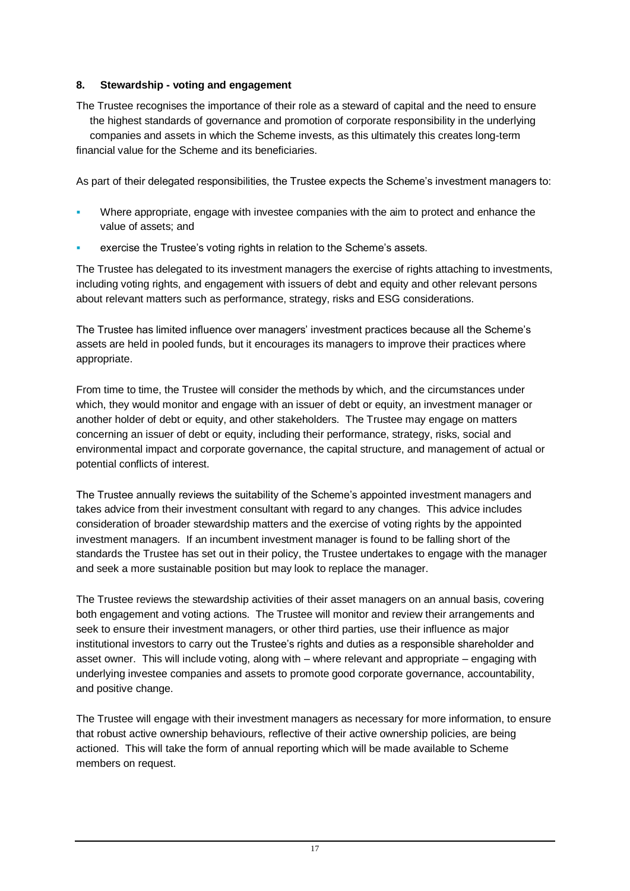## **8. Stewardship - voting and engagement**

The Trustee recognises the importance of their role as a steward of capital and the need to ensure the highest standards of governance and promotion of corporate responsibility in the underlying companies and assets in which the Scheme invests, as this ultimately this creates long-term financial value for the Scheme and its beneficiaries.

As part of their delegated responsibilities, the Trustee expects the Scheme's investment managers to:

- Where appropriate, engage with investee companies with the aim to protect and enhance the value of assets; and
- exercise the Trustee's voting rights in relation to the Scheme's assets.

The Trustee has delegated to its investment managers the exercise of rights attaching to investments, including voting rights, and engagement with issuers of debt and equity and other relevant persons about relevant matters such as performance, strategy, risks and ESG considerations.

The Trustee has limited influence over managers' investment practices because all the Scheme's assets are held in pooled funds, but it encourages its managers to improve their practices where appropriate.

From time to time, the Trustee will consider the methods by which, and the circumstances under which, they would monitor and engage with an issuer of debt or equity, an investment manager or another holder of debt or equity, and other stakeholders. The Trustee may engage on matters concerning an issuer of debt or equity, including their performance, strategy, risks, social and environmental impact and corporate governance, the capital structure, and management of actual or potential conflicts of interest.

The Trustee annually reviews the suitability of the Scheme's appointed investment managers and takes advice from their investment consultant with regard to any changes. This advice includes consideration of broader stewardship matters and the exercise of voting rights by the appointed investment managers. If an incumbent investment manager is found to be falling short of the standards the Trustee has set out in their policy, the Trustee undertakes to engage with the manager and seek a more sustainable position but may look to replace the manager.

The Trustee reviews the stewardship activities of their asset managers on an annual basis, covering both engagement and voting actions. The Trustee will monitor and review their arrangements and seek to ensure their investment managers, or other third parties, use their influence as major institutional investors to carry out the Trustee's rights and duties as a responsible shareholder and asset owner. This will include voting, along with – where relevant and appropriate – engaging with underlying investee companies and assets to promote good corporate governance, accountability, and positive change.

The Trustee will engage with their investment managers as necessary for more information, to ensure that robust active ownership behaviours, reflective of their active ownership policies, are being actioned. This will take the form of annual reporting which will be made available to Scheme members on request.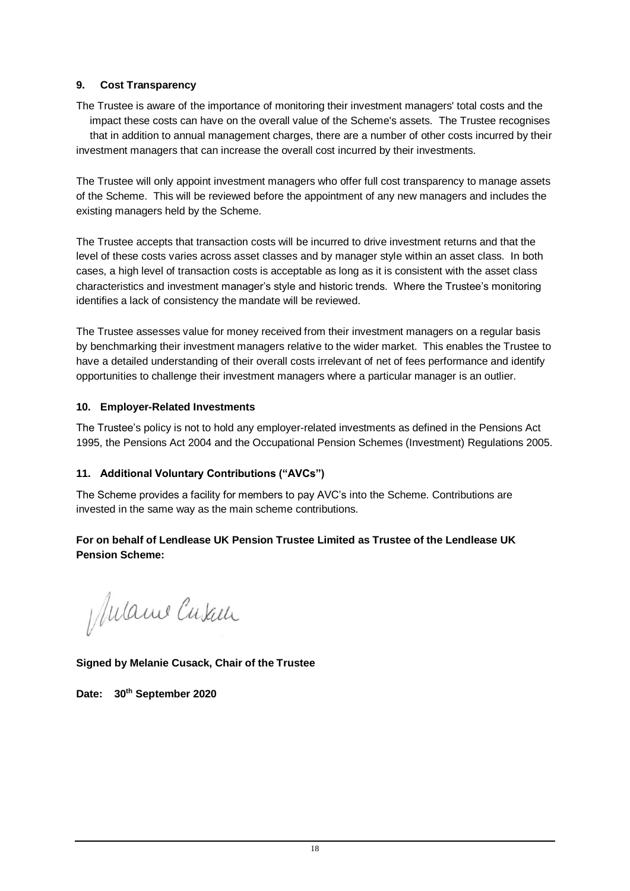### **9. Cost Transparency**

The Trustee is aware of the importance of monitoring their investment managers' total costs and the impact these costs can have on the overall value of the Scheme's assets. The Trustee recognises that in addition to annual management charges, there are a number of other costs incurred by their investment managers that can increase the overall cost incurred by their investments.

The Trustee will only appoint investment managers who offer full cost transparency to manage assets of the Scheme. This will be reviewed before the appointment of any new managers and includes the existing managers held by the Scheme.

The Trustee accepts that transaction costs will be incurred to drive investment returns and that the level of these costs varies across asset classes and by manager style within an asset class. In both cases, a high level of transaction costs is acceptable as long as it is consistent with the asset class characteristics and investment manager's style and historic trends. Where the Trustee's monitoring identifies a lack of consistency the mandate will be reviewed.

The Trustee assesses value for money received from their investment managers on a regular basis by benchmarking their investment managers relative to the wider market. This enables the Trustee to have a detailed understanding of their overall costs irrelevant of net of fees performance and identify opportunities to challenge their investment managers where a particular manager is an outlier.

#### **10. Employer-Related Investments**

The Trustee's policy is not to hold any employer-related investments as defined in the Pensions Act 1995, the Pensions Act 2004 and the Occupational Pension Schemes (Investment) Regulations 2005.

### **11. Additional Voluntary Contributions ("AVCs")**

The Scheme provides a facility for members to pay AVC's into the Scheme. Contributions are invested in the same way as the main scheme contributions.

## **For on behalf of Lendlease UK Pension Trustee Limited as Trustee of the Lendlease UK Pension Scheme:**

Mulame Cusau

**Signed by Melanie Cusack, Chair of the Trustee**

**Date: 30th September 2020**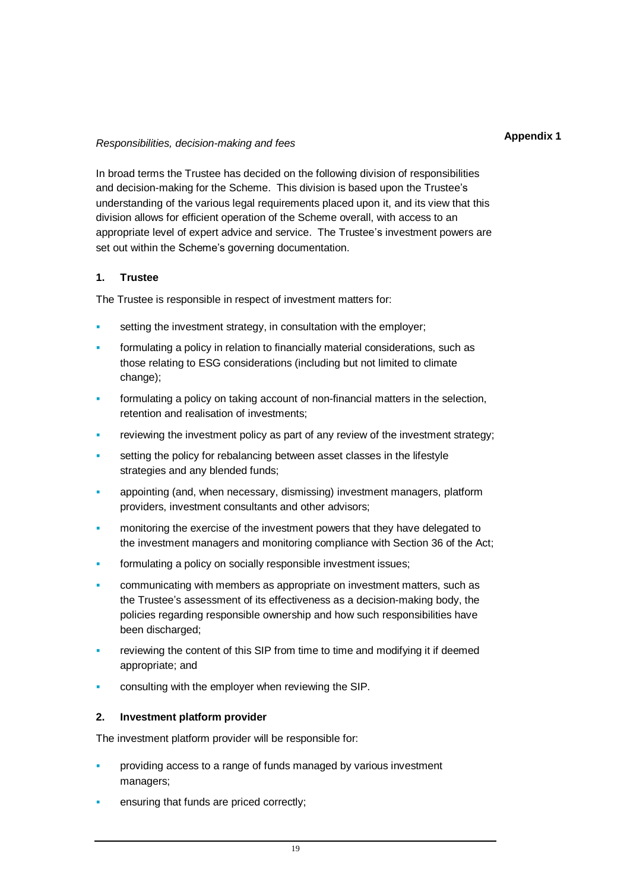#### **Appendix 1**

#### *Responsibilities, decision-making and fees*

In broad terms the Trustee has decided on the following division of responsibilities and decision-making for the Scheme. This division is based upon the Trustee's understanding of the various legal requirements placed upon it, and its view that this division allows for efficient operation of the Scheme overall, with access to an appropriate level of expert advice and service. The Trustee's investment powers are set out within the Scheme's governing documentation.

#### **1. Trustee**

The Trustee is responsible in respect of investment matters for:

- setting the investment strategy, in consultation with the employer;
- formulating a policy in relation to financially material considerations, such as those relating to ESG considerations (including but not limited to climate change);
- formulating a policy on taking account of non-financial matters in the selection, retention and realisation of investments;
- reviewing the investment policy as part of any review of the investment strategy;
- setting the policy for rebalancing between asset classes in the lifestyle strategies and any blended funds;
- appointing (and, when necessary, dismissing) investment managers, platform providers, investment consultants and other advisors;
- monitoring the exercise of the investment powers that they have delegated to the investment managers and monitoring compliance with Section 36 of the Act;
- formulating a policy on socially responsible investment issues;
- communicating with members as appropriate on investment matters, such as the Trustee's assessment of its effectiveness as a decision-making body, the policies regarding responsible ownership and how such responsibilities have been discharged:
- reviewing the content of this SIP from time to time and modifying it if deemed appropriate; and
- consulting with the employer when reviewing the SIP.

#### **2. Investment platform provider**

The investment platform provider will be responsible for:

- providing access to a range of funds managed by various investment managers;
- ensuring that funds are priced correctly;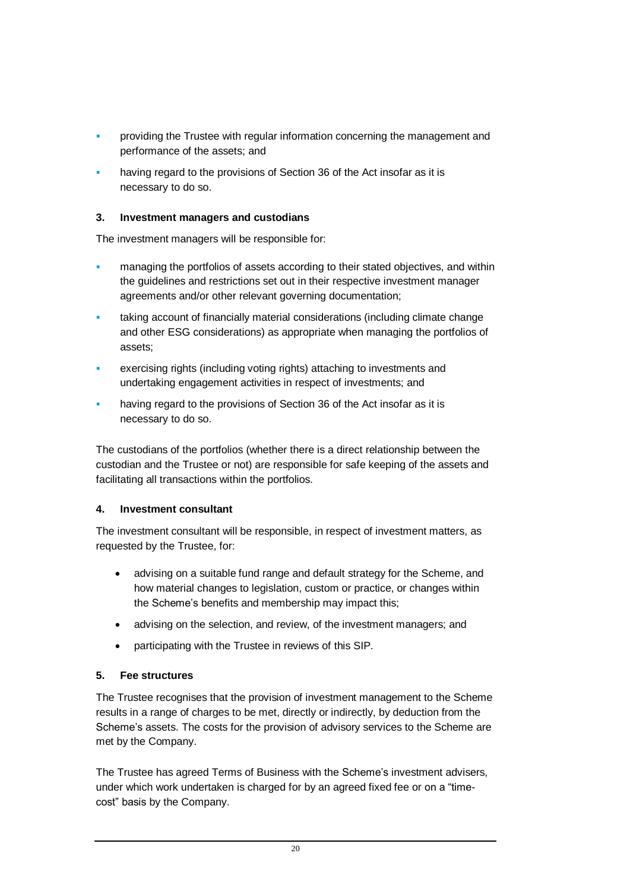- providing the Trustee with regular information concerning the management and performance of the assets; and
- having regard to the provisions of Section 36 of the Act insofar as it is necessary to do so.

## **3. Investment managers and custodians**

The investment managers will be responsible for:

- managing the portfolios of assets according to their stated objectives, and within the guidelines and restrictions set out in their respective investment manager agreements and/or other relevant governing documentation;
- taking account of financially material considerations (including climate change and other ESG considerations) as appropriate when managing the portfolios of assets;
- exercising rights (including voting rights) attaching to investments and undertaking engagement activities in respect of investments; and
- having regard to the provisions of Section 36 of the Act insofar as it is necessary to do so.

The custodians of the portfolios (whether there is a direct relationship between the custodian and the Trustee or not) are responsible for safe keeping of the assets and facilitating all transactions within the portfolios.

### **4. Investment consultant**

The investment consultant will be responsible, in respect of investment matters, as requested by the Trustee, for:

- advising on a suitable fund range and default strategy for the Scheme, and how material changes to legislation, custom or practice, or changes within the Scheme's benefits and membership may impact this;
- advising on the selection, and review, of the investment managers; and
- participating with the Trustee in reviews of this SIP.

# **5. Fee structures**

The Trustee recognises that the provision of investment management to the Scheme results in a range of charges to be met, directly or indirectly, by deduction from the Scheme's assets. The costs for the provision of advisory services to the Scheme are met by the Company.

The Trustee has agreed Terms of Business with the Scheme's investment advisers, under which work undertaken is charged for by an agreed fixed fee or on a "timecost" basis by the Company.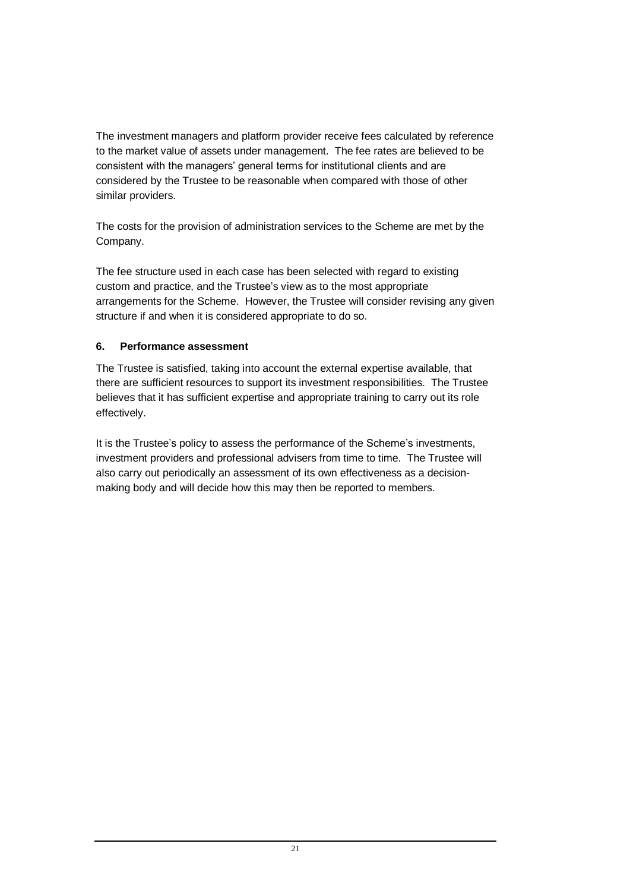The investment managers and platform provider receive fees calculated by reference to the market value of assets under management. The fee rates are believed to be consistent with the managers' general terms for institutional clients and are considered by the Trustee to be reasonable when compared with those of other similar providers.

The costs for the provision of administration services to the Scheme are met by the Company.

The fee structure used in each case has been selected with regard to existing custom and practice, and the Trustee's view as to the most appropriate arrangements for the Scheme. However, the Trustee will consider revising any given structure if and when it is considered appropriate to do so.

# **6. Performance assessment**

The Trustee is satisfied, taking into account the external expertise available, that there are sufficient resources to support its investment responsibilities. The Trustee believes that it has sufficient expertise and appropriate training to carry out its role effectively.

It is the Trustee's policy to assess the performance of the Scheme's investments, investment providers and professional advisers from time to time. The Trustee will also carry out periodically an assessment of its own effectiveness as a decisionmaking body and will decide how this may then be reported to members.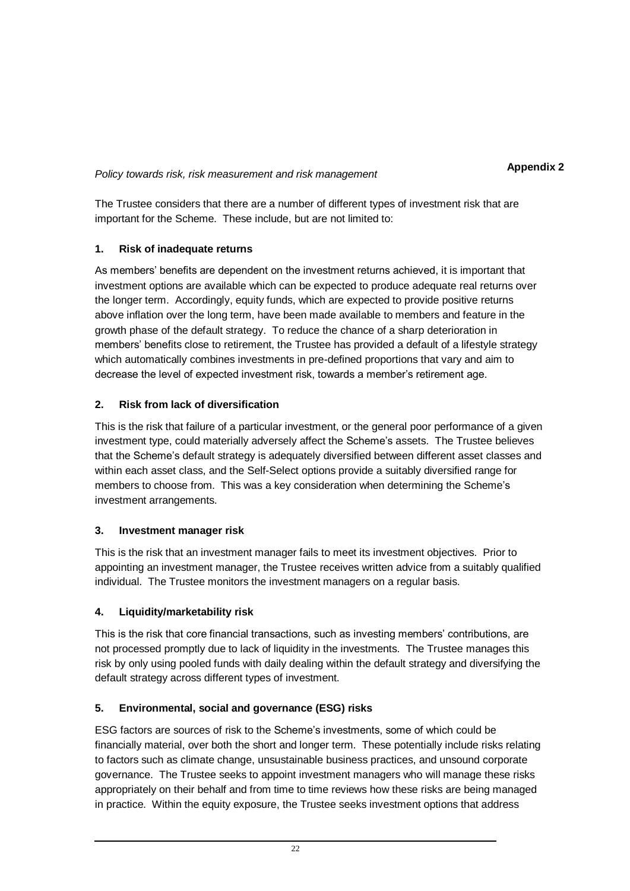### *Policy towards risk, risk measurement and risk management*

The Trustee considers that there are a number of different types of investment risk that are important for the Scheme. These include, but are not limited to:

# **1. Risk of inadequate returns**

As members' benefits are dependent on the investment returns achieved, it is important that investment options are available which can be expected to produce adequate real returns over the longer term. Accordingly, equity funds, which are expected to provide positive returns above inflation over the long term, have been made available to members and feature in the growth phase of the default strategy. To reduce the chance of a sharp deterioration in members' benefits close to retirement, the Trustee has provided a default of a lifestyle strategy which automatically combines investments in pre-defined proportions that vary and aim to decrease the level of expected investment risk, towards a member's retirement age.

# **2. Risk from lack of diversification**

This is the risk that failure of a particular investment, or the general poor performance of a given investment type, could materially adversely affect the Scheme's assets. The Trustee believes that the Scheme's default strategy is adequately diversified between different asset classes and within each asset class, and the Self-Select options provide a suitably diversified range for members to choose from. This was a key consideration when determining the Scheme's investment arrangements.

# **3. Investment manager risk**

This is the risk that an investment manager fails to meet its investment objectives. Prior to appointing an investment manager, the Trustee receives written advice from a suitably qualified individual. The Trustee monitors the investment managers on a regular basis.

# **4. Liquidity/marketability risk**

This is the risk that core financial transactions, such as investing members' contributions, are not processed promptly due to lack of liquidity in the investments. The Trustee manages this risk by only using pooled funds with daily dealing within the default strategy and diversifying the default strategy across different types of investment.

# **5. Environmental, social and governance (ESG) risks**

ESG factors are sources of risk to the Scheme's investments, some of which could be financially material, over both the short and longer term. These potentially include risks relating to factors such as climate change, unsustainable business practices, and unsound corporate governance. The Trustee seeks to appoint investment managers who will manage these risks appropriately on their behalf and from time to time reviews how these risks are being managed in practice. Within the equity exposure, the Trustee seeks investment options that address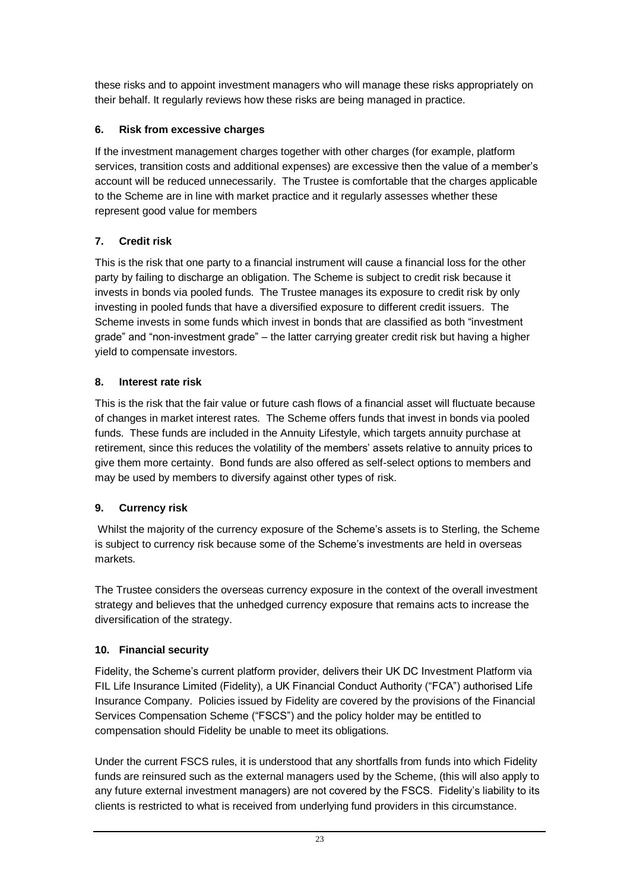these risks and to appoint investment managers who will manage these risks appropriately on their behalf. It regularly reviews how these risks are being managed in practice.

# **6. Risk from excessive charges**

If the investment management charges together with other charges (for example, platform services, transition costs and additional expenses) are excessive then the value of a member's account will be reduced unnecessarily. The Trustee is comfortable that the charges applicable to the Scheme are in line with market practice and it regularly assesses whether these represent good value for members

# **7. Credit risk**

This is the risk that one party to a financial instrument will cause a financial loss for the other party by failing to discharge an obligation. The Scheme is subject to credit risk because it invests in bonds via pooled funds. The Trustee manages its exposure to credit risk by only investing in pooled funds that have a diversified exposure to different credit issuers. The Scheme invests in some funds which invest in bonds that are classified as both "investment grade" and "non-investment grade" – the latter carrying greater credit risk but having a higher yield to compensate investors.

# **8. Interest rate risk**

This is the risk that the fair value or future cash flows of a financial asset will fluctuate because of changes in market interest rates. The Scheme offers funds that invest in bonds via pooled funds. These funds are included in the Annuity Lifestyle, which targets annuity purchase at retirement, since this reduces the volatility of the members' assets relative to annuity prices to give them more certainty. Bond funds are also offered as self-select options to members and may be used by members to diversify against other types of risk.

# **9. Currency risk**

Whilst the majority of the currency exposure of the Scheme's assets is to Sterling, the Scheme is subject to currency risk because some of the Scheme's investments are held in overseas markets.

The Trustee considers the overseas currency exposure in the context of the overall investment strategy and believes that the unhedged currency exposure that remains acts to increase the diversification of the strategy.

# **10. Financial security**

Fidelity, the Scheme's current platform provider, delivers their UK DC Investment Platform via FIL Life Insurance Limited (Fidelity), a UK Financial Conduct Authority ("FCA") authorised Life Insurance Company. Policies issued by Fidelity are covered by the provisions of the Financial Services Compensation Scheme ("FSCS") and the policy holder may be entitled to compensation should Fidelity be unable to meet its obligations.

Under the current FSCS rules, it is understood that any shortfalls from funds into which Fidelity funds are reinsured such as the external managers used by the Scheme, (this will also apply to any future external investment managers) are not covered by the FSCS. Fidelity's liability to its clients is restricted to what is received from underlying fund providers in this circumstance.